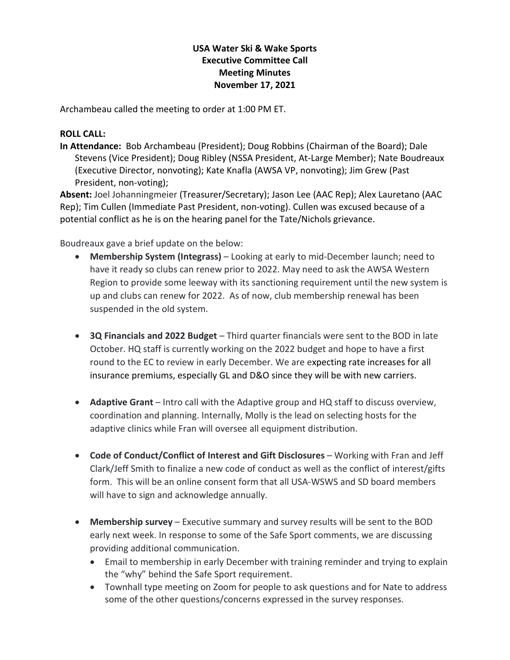## **USA Water Ski & Wake Sports Executive Committee Call Meeting Minutes November 17, 2021**

Archambeau called the meeting to order at 1:00 PM ET.

## **ROLL CALL:**

**In Attendance:** Bob Archambeau (President); Doug Robbins (Chairman of the Board); Dale Stevens (Vice President); Doug Ribley (NSSA President, At-Large Member); Nate Boudreaux (Executive Director, nonvoting); Kate Knafla (AWSA VP, nonvoting); Jim Grew (Past President, non-voting);

**Absent:** Joel Johanningmeier (Treasurer/Secretary); Jason Lee (AAC Rep); Alex Lauretano (AAC Rep); Tim Cullen (Immediate Past President, non-voting). Cullen was excused because of a potential conflict as he is on the hearing panel for the Tate/Nichols grievance.

Boudreaux gave a brief update on the below:

- **Membership System (Integrass)** Looking at early to mid-December launch; need to have it ready so clubs can renew prior to 2022. May need to ask the AWSA Western Region to provide some leeway with its sanctioning requirement until the new system is up and clubs can renew for 2022. As of now, club membership renewal has been suspended in the old system.
- **3Q Financials and 2022 Budget** Third quarter financials were sent to the BOD in late October. HQ staff is currently working on the 2022 budget and hope to have a first round to the EC to review in early December. We are expecting rate increases for all insurance premiums, especially GL and D&O since they will be with new carriers.
- **Adaptive Grant** Intro call with the Adaptive group and HQ staff to discuss overview, coordination and planning. Internally, Molly is the lead on selecting hosts for the adaptive clinics while Fran will oversee all equipment distribution.
- **Code of Conduct/Conflict of Interest and Gift Disclosures** Working with Fran and Jeff Clark/Jeff Smith to finalize a new code of conduct as well as the conflict of interest/gifts form. This will be an online consent form that all USA-WSWS and SD board members will have to sign and acknowledge annually.
- **Membership survey** Executive summary and survey results will be sent to the BOD early next week. In response to some of the Safe Sport comments, we are discussing providing additional communication.
	- Email to membership in early December with training reminder and trying to explain the "why" behind the Safe Sport requirement.
	- Townhall type meeting on Zoom for people to ask questions and for Nate to address some of the other questions/concerns expressed in the survey responses.